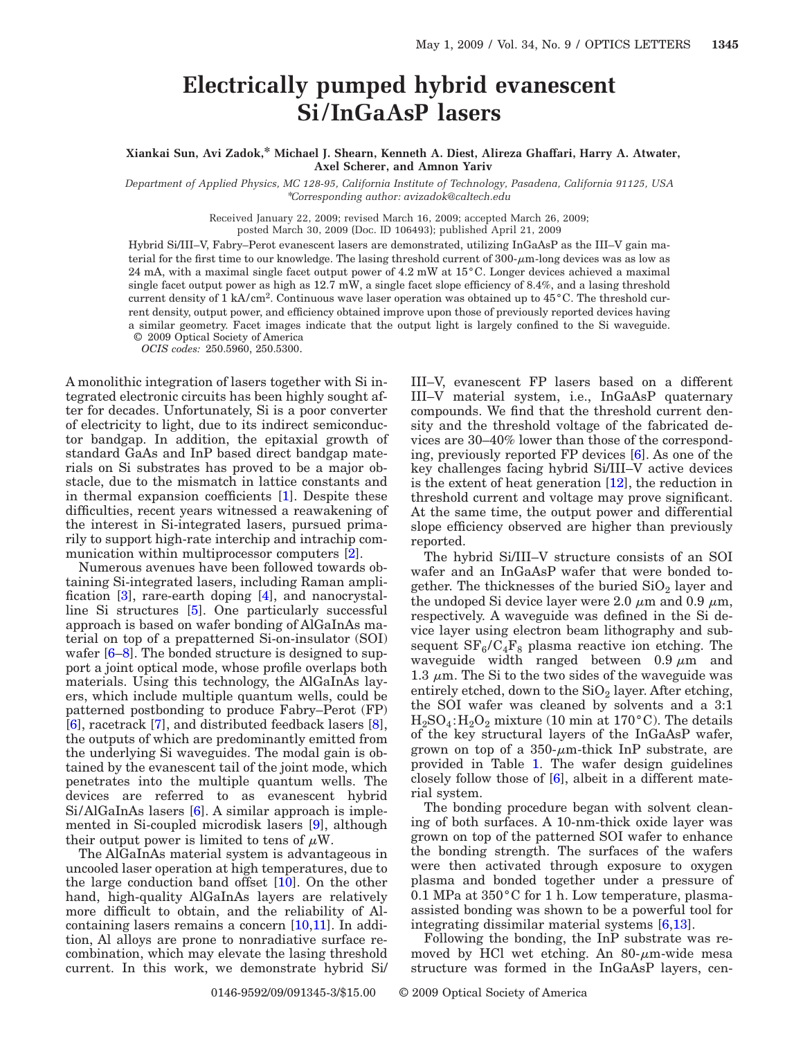## **Electrically pumped hybrid evanescent Si/ InGaAsP lasers**

**Xiankai Sun, Avi Zadok,\* Michael J. Shearn, Kenneth A. Diest, Alireza Ghaffari, Harry A. Atwater, Axel Scherer, and Amnon Yariv**

*Department of Applied Physics, MC 128-95, California Institute of Technology, Pasadena, California 91125, USA* \**Corresponding author: avizadok@caltech.edu*

Received January 22, 2009; revised March 16, 2009; accepted March 26, 2009;

posted March 30, 2009 (Doc. ID 106493); published April 21, 2009

Hybrid Si/III–V, Fabry–Perot evanescent lasers are demonstrated, utilizing InGaAsP as the III–V gain material for the first time to our knowledge. The lasing threshold current of  $300-\mu m$ -long devices was as low as 24 mA, with a maximal single facet output power of 4.2 mW at 15°C. Longer devices achieved a maximal single facet output power as high as 12.7 mW, a single facet slope efficiency of 8.4%, and a lasing threshold current density of 1 kA/cm<sup>2</sup>. Continuous wave laser operation was obtained up to  $45^{\circ}$ C. The threshold current density, output power, and efficiency obtained improve upon those of previously reported devices having a similar geometry. Facet images indicate that the output light is largely confined to the Si waveguide. © 2009 Optical Society of America

*OCIS codes:* 250.5960, 250.5300.

A monolithic integration of lasers together with Si integrated electronic circuits has been highly sought after for decades. Unfortunately, Si is a poor converter of electricity to light, due to its indirect semiconductor bandgap. In addition, the epitaxial growth of standard GaAs and InP based direct bandgap materials on Si substrates has proved to be a major obstacle, due to the mismatch in lattice constants and in thermal expansion coefficients [\[1\]](#page-2-0). Despite these difficulties, recent years witnessed a reawakening of the interest in Si-integrated lasers, pursued primarily to support high-rate interchip and intrachip communication within multiprocessor computers [\[2\]](#page-2-1).

Numerous avenues have been followed towards obtaining Si-integrated lasers, including Raman amplification [\[3\]](#page-2-2), rare-earth doping [\[4\]](#page-2-3), and nanocrystalline Si structures [\[5\]](#page-2-4). One particularly successful approach is based on wafer bonding of AlGaInAs material on top of a prepatterned Si-on-insulator (SOI) wafer  $[6–8]$  $[6–8]$ . The bonded structure is designed to support a joint optical mode, whose profile overlaps both materials. Using this technology, the AlGaInAs layers, which include multiple quantum wells, could be patterned postbonding to produce Fabry–Perot (FP) [\[6\]](#page-2-5), racetrack [\[7\]](#page-2-7), and distributed feedback lasers [\[8\]](#page-2-6), the outputs of which are predominantly emitted from the underlying Si waveguides. The modal gain is obtained by the evanescent tail of the joint mode, which penetrates into the multiple quantum wells. The devices are referred to as evanescent hybrid Si/AlGaInAs lasers [\[6\]](#page-2-5). A similar approach is implemented in Si-coupled microdisk lasers [\[9\]](#page-2-8), although their output power is limited to tens of  $\mu$ W.

The AlGaInAs material system is advantageous in uncooled laser operation at high temperatures, due to the large conduction band offset [\[10\]](#page-2-9). On the other hand, high-quality AlGaInAs layers are relatively more difficult to obtain, and the reliability of Alcontaining lasers remains a concern  $[10,11]$  $[10,11]$ . In addition, Al alloys are prone to nonradiative surface recombination, which may elevate the lasing threshold current. In this work, we demonstrate hybrid Si/ III–V, evanescent FP lasers based on a different III–V material system, i.e., InGaAsP quaternary compounds. We find that the threshold current density and the threshold voltage of the fabricated devices are 30–40% lower than those of the corresponding, previously reported FP devices [\[6\]](#page-2-5). As one of the key challenges facing hybrid Si/III–V active devices is the extent of heat generation [\[12\]](#page-2-11), the reduction in threshold current and voltage may prove significant. At the same time, the output power and differential slope efficiency observed are higher than previously reported.

The hybrid Si/III–V structure consists of an SOI wafer and an InGaAsP wafer that were bonded together. The thicknesses of the buried  $SiO<sub>2</sub>$  layer and the undoped Si device layer were 2.0  $\mu$ m and 0.9  $\mu$ m, respectively. A waveguide was defined in the Si device layer using electron beam lithography and subsequent  $SF_6/C_4F_8$  plasma reactive ion etching. The waveguide width ranged between  $0.9 \mu m$  and 1.3  $\mu$ m. The Si to the two sides of the waveguide was entirely etched, down to the  $SiO<sub>2</sub>$  layer. After etching, the SOI wafer was cleaned by solvents and a 3:1  $H_2SO_4$ :  $H_2O_2$  mixture (10 min at 170°C). The details of the key structural layers of the InGaAsP wafer, grown on top of a  $350$ - $\mu$ m-thick InP substrate, are provided in Table [1.](#page-1-0) The wafer design guidelines closely follow those of [\[6\]](#page-2-5), albeit in a different material system.

The bonding procedure began with solvent cleaning of both surfaces. A 10-nm-thick oxide layer was grown on top of the patterned SOI wafer to enhance the bonding strength. The surfaces of the wafers were then activated through exposure to oxygen plasma and bonded together under a pressure of 0.1 MPa at 350°C for 1 h. Low temperature, plasmaassisted bonding was shown to be a powerful tool for integrating dissimilar material systems [\[6](#page-2-5)[,13\]](#page-2-12).

Following the bonding, the InP substrate was removed by HCl wet etching. An  $80$ - $\mu$ m-wide mesa structure was formed in the InGaAsP layers, cen-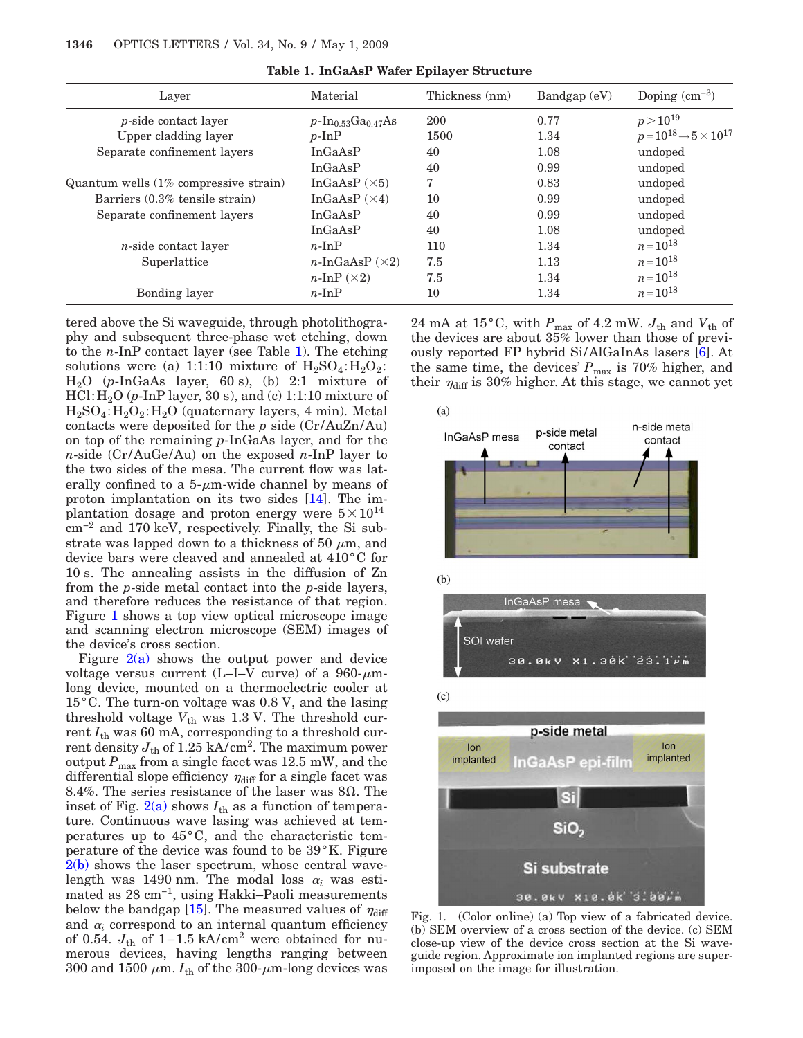<span id="page-1-0"></span>

| Layer                                    | Material                        | Thickness (nm) | Bandgap (eV) | Doping $\rm(cm^{-3})$                      |
|------------------------------------------|---------------------------------|----------------|--------------|--------------------------------------------|
| <i>p</i> -side contact layer             | $p\text{-}In_{0.53}Ga_{0.47}As$ | 200            | 0.77         | $p > 10^{19}$                              |
| Upper cladding layer                     | $p$ -InP                        | 1500           | 1.34         | $p = 10^{18} \rightarrow 5 \times 10^{17}$ |
| Separate confinement layers              | In GaAsP                        | 40             | 1.08         | undoped                                    |
|                                          | In GaAsP                        | 40             | 0.99         | undoped                                    |
| Quantum wells $(1\%$ compressive strain) | InGaAsP $(\times 5)$            | 7              | 0.83         | undoped                                    |
| Barriers (0.3% tensile strain)           | InGaAsP $(\times 4)$            | 10             | 0.99         | undoped                                    |
| Separate confinement layers              | InGaAsP                         | 40             | 0.99         | undoped                                    |
|                                          | In GaAsP                        | 40             | 1.08         | undoped                                    |
| $n$ -side contact layer                  | $n$ -In $P$                     | 110            | 1.34         | $n = 10^{18}$                              |
| Superlattice                             | $n$ -InGaAsP $(\times 2)$       | 7.5            | 1.13         | $n = 10^{18}$                              |
|                                          | $n\text{-}InP(x2)$              | 7.5            | 1.34         | $n = 10^{18}$                              |
| Bonding layer                            | $n$ -InP                        | 10             | 1.34         | $n = 10^{18}$                              |

**Table 1. InGaAsP Wafer Epilayer Structure**

tered above the Si waveguide, through photolithography and subsequent three-phase wet etching, down to the *n*-InP contact layer (see Table [1\)](#page-1-0). The etching solutions were (a) 1:1:10 mixture of  $H_2SO_4$ : $H_2O_2$ : H2O (*p*-InGaAs layer, 60 s), (b) 2:1 mixture of HCl:H2O (*p*-InP layer, 30 s), and (c) 1:1:10 mixture of  $H_2SO_4$ : $H_2O_2$ : $H_2O$  (quaternary layers, 4 min). Metal contacts were deposited for the *p* side (Cr/AuZn/Au) on top of the remaining *p*-InGaAs layer, and for the *n*-side (Cr/AuGe/Au) on the exposed *n*-InP layer to the two sides of the mesa. The current flow was laterally confined to a  $5$ - $\mu$ m-wide channel by means of proton implantation on its two sides [\[14\]](#page-2-13). The implantation dosage and proton energy were  $5 \times 10^{14}$ cm−2 and 170 keV, respectively. Finally, the Si substrate was lapped down to a thickness of 50  $\mu$ m, and device bars were cleaved and annealed at 410°C for 10 s. The annealing assists in the diffusion of Zn from the *p*-side metal contact into the *p*-side layers, and therefore reduces the resistance of that region. Figure [1](#page-1-1) shows a top view optical microscope image and scanning electron microscope (SEM) images of the device's cross section.

Figure  $2(a)$  shows the output power and device voltage versus current (L-I-V curve) of a  $960-\mu m$ long device, mounted on a thermoelectric cooler at 15°C. The turn-on voltage was 0.8 V, and the lasing threshold voltage  $V_{th}$  was 1.3 V. The threshold current *I*th was 60 mA, corresponding to a threshold current density  $J_{\text{th}}$  of 1.25 kA/cm<sup>2</sup>. The maximum power output  $P_{\text{max}}$  from a single facet was 12.5 mW, and the differential slope efficiency  $\eta_{\text{diff}}$  for a single facet was 8.4%. The series resistance of the laser was  $8\Omega$ . The inset of Fig.  $2(a)$  shows  $I_{th}$  as a function of temperature. Continuous wave lasing was achieved at temperatures up to 45°C, and the characteristic temperature of the device was found to be 39°K. Figure [2\(b\)](#page-2-14) shows the laser spectrum, whose central wavelength was 1490 nm. The modal loss  $\alpha_i$  was estimated as 28 cm−1, using Hakki–Paoli measurements below the bandgap [\[15\]](#page-2-15). The measured values of  $\eta_{\text{diff}}$ and  $\alpha_i$  correspond to an internal quantum efficiency of 0.54.  $J_{\text{th}}$  of 1–1.5 kA/cm<sup>2</sup> were obtained for numerous devices, having lengths ranging between 300 and 1500  $\mu$ m.  $I_{th}$  of the 300- $\mu$ m-long devices was

 $24$  mA at  $15\,^{\circ}\mathrm{C},$  with  $P_{\mathrm{max}}$  of  $4.2$  mW.  $J_{\mathrm{th}}$  and  $V_{\mathrm{th}}$  of the devices are about 35% lower than those of previously reported FP hybrid Si/AlGaInAs lasers [\[6\]](#page-2-5). At the same time, the devices'  $P_{\text{max}}$  is 70% higher, and their  $\eta_{\text{diff}}$  is 30% higher. At this stage, we cannot yet

<span id="page-1-1"></span>

Fig. 1. (Color online) (a) Top view of a fabricated device. (b) SEM overview of a cross section of the device. (c) SEM close-up view of the device cross section at the Si waveguide region. Approximate ion implanted regions are superimposed on the image for illustration.